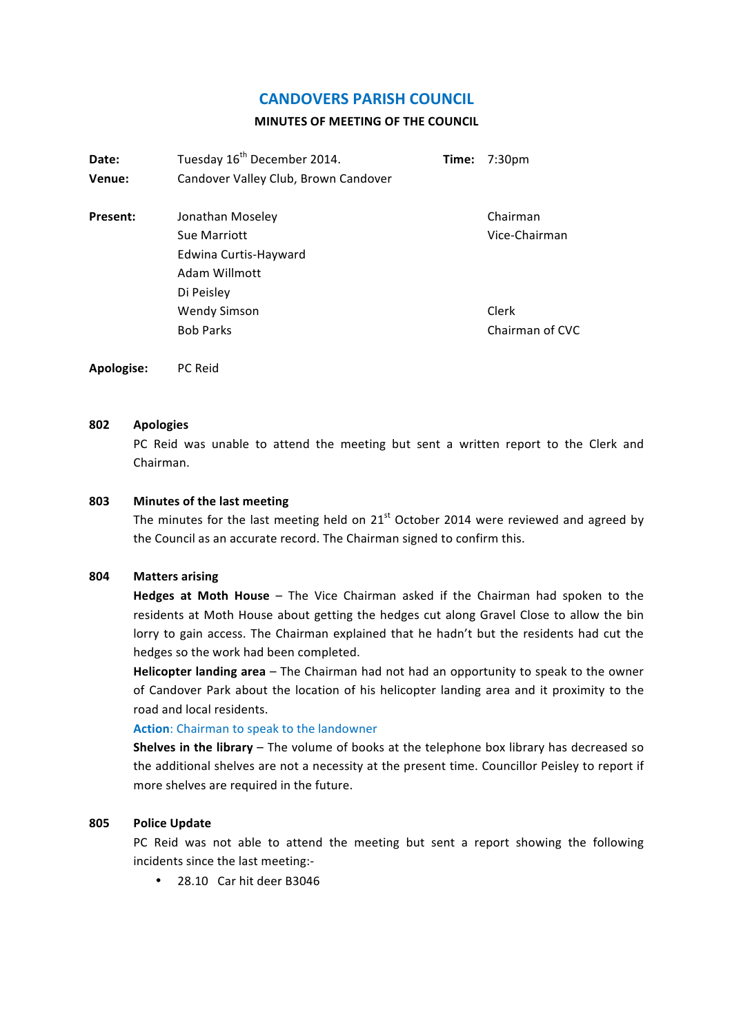# **CANDOVERS PARISH COUNCIL**

#### **MINUTES OF MEETING OF THE COUNCIL**

| Date:<br>Venue: | Tuesday 16 <sup>th</sup> December 2014.<br>Candover Valley Club, Brown Candover          | Time: | 7:30pm                    |
|-----------------|------------------------------------------------------------------------------------------|-------|---------------------------|
| <b>Present:</b> | Jonathan Moseley<br>Sue Marriott<br>Edwina Curtis-Hayward<br>Adam Willmott<br>Di Peisley |       | Chairman<br>Vice-Chairman |
|                 | <b>Wendy Simson</b><br><b>Bob Parks</b>                                                  |       | Clerk<br>Chairman of CVC  |

**Apologise:** PC Reid

### **802 Apologies**

PC Reid was unable to attend the meeting but sent a written report to the Clerk and Chairman.

#### **803** Minutes of the last meeting

The minutes for the last meeting held on  $21<sup>st</sup>$  October 2014 were reviewed and agreed by the Council as an accurate record. The Chairman signed to confirm this.

### **804 Matters arising**

**Hedges at Moth House** – The Vice Chairman asked if the Chairman had spoken to the residents at Moth House about getting the hedges cut along Gravel Close to allow the bin lorry to gain access. The Chairman explained that he hadn't but the residents had cut the hedges so the work had been completed.

**Helicopter landing area** – The Chairman had not had an opportunity to speak to the owner of Candover Park about the location of his helicopter landing area and it proximity to the road and local residents.

#### **Action:** Chairman to speak to the landowner

**Shelves in the library** – The volume of books at the telephone box library has decreased so the additional shelves are not a necessity at the present time. Councillor Peisley to report if more shelves are required in the future.

#### **805 Police Update**

PC Reid was not able to attend the meeting but sent a report showing the following incidents since the last meeting:-

• 28.10 Car hit deer B3046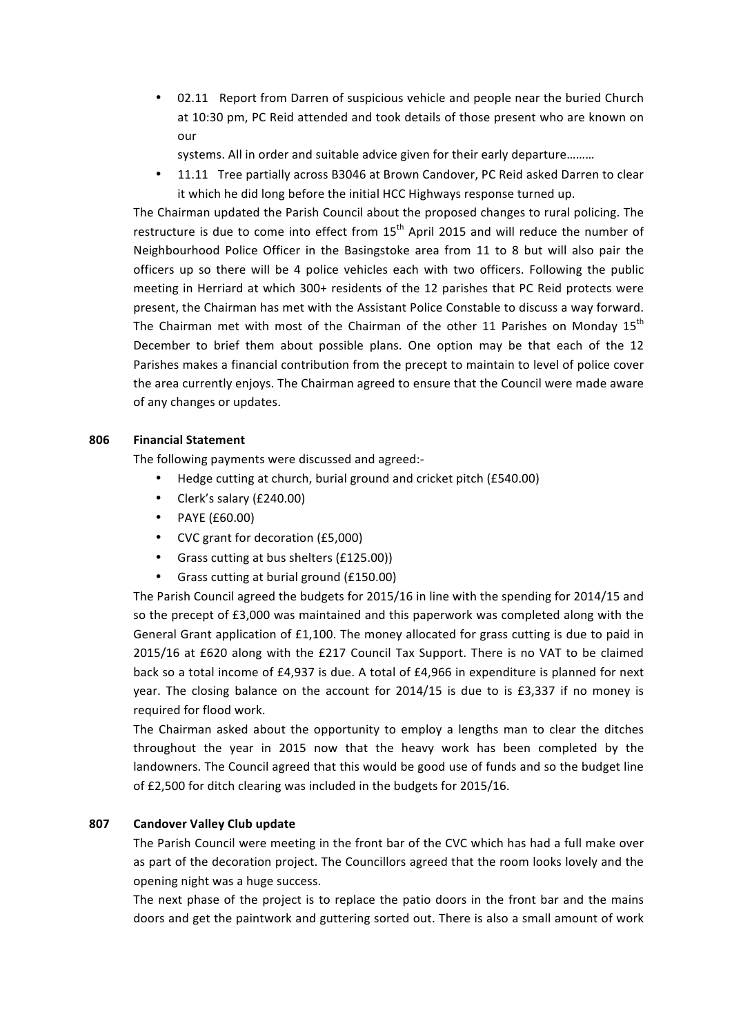• 02.11 Report from Darren of suspicious vehicle and people near the buried Church at 10:30 pm, PC Reid attended and took details of those present who are known on our

systems. All in order and suitable advice given for their early departure........

11.11 Tree partially across B3046 at Brown Candover, PC Reid asked Darren to clear it which he did long before the initial HCC Highways response turned up.

The Chairman updated the Parish Council about the proposed changes to rural policing. The restructure is due to come into effect from  $15<sup>th</sup>$  April 2015 and will reduce the number of Neighbourhood Police Officer in the Basingstoke area from 11 to 8 but will also pair the officers up so there will be 4 police vehicles each with two officers. Following the public meeting in Herriard at which 300+ residents of the 12 parishes that PC Reid protects were present, the Chairman has met with the Assistant Police Constable to discuss a way forward. The Chairman met with most of the Chairman of the other 11 Parishes on Monday  $15<sup>th</sup>$ December to brief them about possible plans. One option may be that each of the 12 Parishes makes a financial contribution from the precept to maintain to level of police cover the area currently enjoys. The Chairman agreed to ensure that the Council were made aware of any changes or updates.

## **806 Financial Statement**

The following payments were discussed and agreed:-

- Hedge cutting at church, burial ground and cricket pitch (£540.00)
- Clerk's salary (£240.00)
- PAYE (£60.00)
- CVC grant for decoration (£5,000)
- Grass cutting at bus shelters (£125.00))
- Grass cutting at burial ground (£150.00)

The Parish Council agreed the budgets for 2015/16 in line with the spending for 2014/15 and so the precept of £3,000 was maintained and this paperwork was completed along with the General Grant application of  $£1,100$ . The money allocated for grass cutting is due to paid in 2015/16 at £620 along with the £217 Council Tax Support. There is no VAT to be claimed back so a total income of £4,937 is due. A total of £4,966 in expenditure is planned for next year. The closing balance on the account for 2014/15 is due to is £3,337 if no money is required for flood work.

The Chairman asked about the opportunity to employ a lengths man to clear the ditches throughout the year in 2015 now that the heavy work has been completed by the landowners. The Council agreed that this would be good use of funds and so the budget line of £2,500 for ditch clearing was included in the budgets for 2015/16.

### **807 Candover Valley Club update**

The Parish Council were meeting in the front bar of the CVC which has had a full make over as part of the decoration project. The Councillors agreed that the room looks lovely and the opening night was a huge success.

The next phase of the project is to replace the patio doors in the front bar and the mains doors and get the paintwork and guttering sorted out. There is also a small amount of work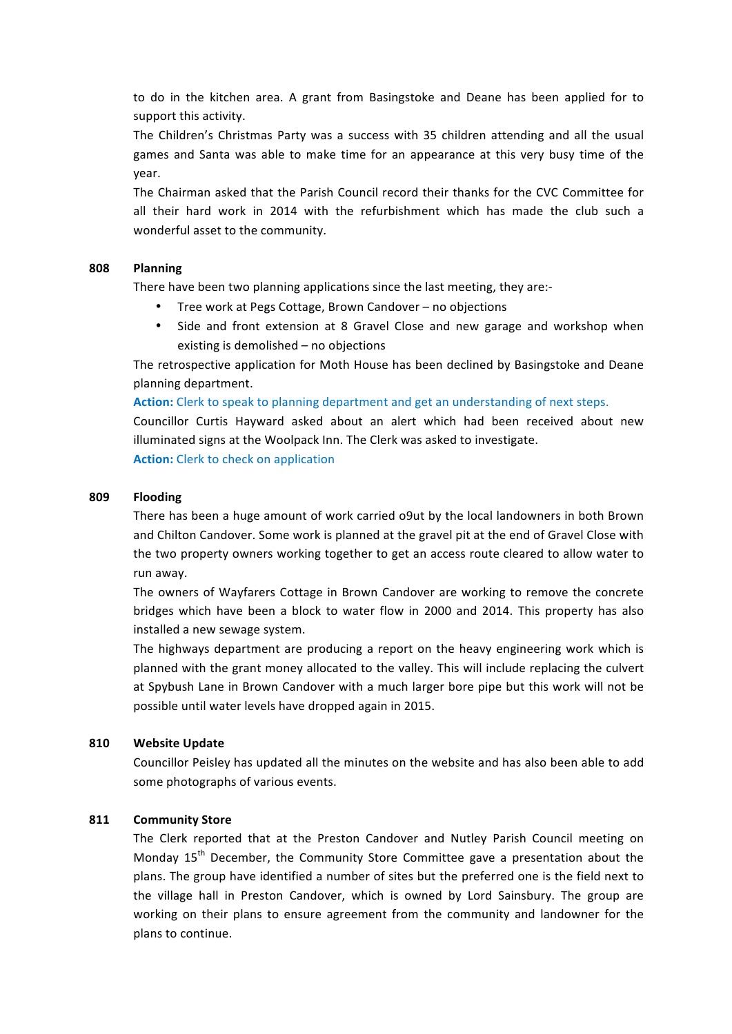to do in the kitchen area. A grant from Basingstoke and Deane has been applied for to support this activity.

The Children's Christmas Party was a success with 35 children attending and all the usual games and Santa was able to make time for an appearance at this very busy time of the year.

The Chairman asked that the Parish Council record their thanks for the CVC Committee for all their hard work in 2014 with the refurbishment which has made the club such a wonderful asset to the community.

#### **808 Planning**

There have been two planning applications since the last meeting, they are:-

- Tree work at Pegs Cottage, Brown Candover no objections
- Side and front extension at 8 Gravel Close and new garage and workshop when existing is demolished  $-$  no objections

The retrospective application for Moth House has been declined by Basingstoke and Deane planning department.

#### **Action:** Clerk to speak to planning department and get an understanding of next steps.

Councillor Curtis Hayward asked about an alert which had been received about new illuminated signs at the Woolpack Inn. The Clerk was asked to investigate.

**Action:** Clerk to check on application

#### **809 Flooding**

There has been a huge amount of work carried o9ut by the local landowners in both Brown and Chilton Candover. Some work is planned at the gravel pit at the end of Gravel Close with the two property owners working together to get an access route cleared to allow water to run away.

The owners of Wayfarers Cottage in Brown Candover are working to remove the concrete bridges which have been a block to water flow in 2000 and 2014. This property has also installed a new sewage system.

The highways department are producing a report on the heavy engineering work which is planned with the grant money allocated to the valley. This will include replacing the culvert at Spybush Lane in Brown Candover with a much larger bore pipe but this work will not be possible until water levels have dropped again in 2015.

### **810 Website Update**

Councillor Peisley has updated all the minutes on the website and has also been able to add some photographs of various events.

### **811 Community Store**

The Clerk reported that at the Preston Candover and Nutley Parish Council meeting on Monday  $15<sup>th</sup>$  December, the Community Store Committee gave a presentation about the plans. The group have identified a number of sites but the preferred one is the field next to the village hall in Preston Candover, which is owned by Lord Sainsbury. The group are working on their plans to ensure agreement from the community and landowner for the plans to continue.